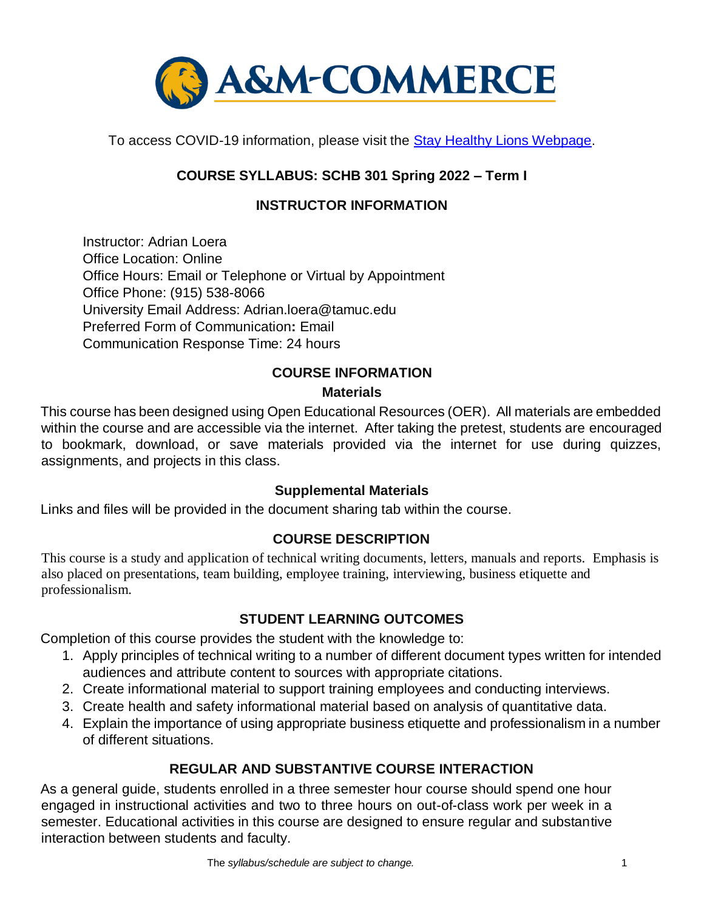

To access COVID-19 information, please visit the **Stay Healthy Lions Webpage**.

# **COURSE SYLLABUS: SCHB 301 Spring 2022 – Term I**

# **INSTRUCTOR INFORMATION**

Instructor: Adrian Loera Office Location: Online Office Hours: Email or Telephone or Virtual by Appointment Office Phone: (915) 538-8066 University Email Address: Adrian.loera@tamuc.edu Preferred Form of Communication**:** Email Communication Response Time: 24 hours

### **COURSE INFORMATION**

### **Materials**

This course has been designed using Open Educational Resources (OER). All materials are embedded within the course and are accessible via the internet. After taking the pretest, students are encouraged to bookmark, download, or save materials provided via the internet for use during quizzes, assignments, and projects in this class.

### **Supplemental Materials**

Links and files will be provided in the document sharing tab within the course.

### **[COURSE DESCRIPTION](http://catalog.tamuc.edu/undergrad/colleges-and-departments/college-of-innovation-design/baas-organizational-leadership/?_ga=2.81546143.928332977.1616426723-584154711.1595512675)**

This course is a study and application of technical writing documents, letters, manuals and reports. Emphasis is also placed on presentations, team building, employee training, interviewing, business etiquette and professionalism.

### **STUDENT LEARNING OUTCOMES**

Completion of this course provides the student with the knowledge to:

- 1. Apply principles of technical writing to a number of different document types written for intended audiences and attribute content to sources with appropriate citations.
- 2. Create informational material to support training employees and conducting interviews.
- 3. Create health and safety informational material based on analysis of quantitative data.
- 4. Explain the importance of using appropriate business etiquette and professionalism in a number of different situations.

# **REGULAR AND SUBSTANTIVE COURSE INTERACTION**

As a general guide, students enrolled in a three semester hour course should spend one hour engaged in instructional activities and two to three hours on out-of-class work per week in a semester. Educational activities in this course are designed to ensure regular and substantive interaction between students and faculty.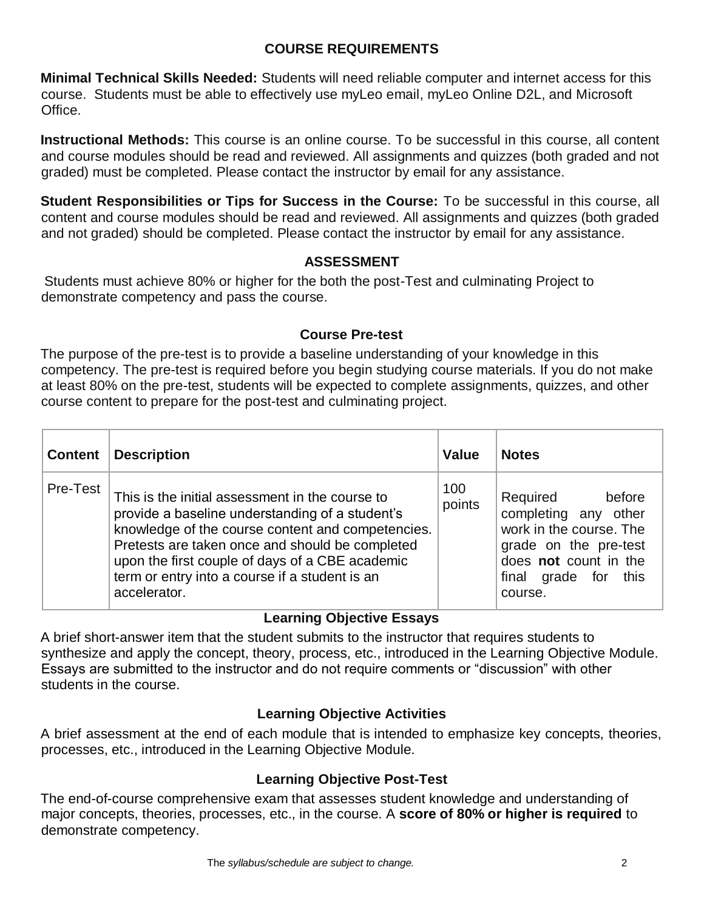## **COURSE REQUIREMENTS**

**Minimal Technical Skills Needed:** Students will need reliable computer and internet access for this course. Students must be able to effectively use myLeo email, myLeo Online D2L, and Microsoft Office.

**Instructional Methods:** This course is an online course. To be successful in this course, all content and course modules should be read and reviewed. All assignments and quizzes (both graded and not graded) must be completed. Please contact the instructor by email for any assistance.

**Student Responsibilities or Tips for Success in the Course:** To be successful in this course, all content and course modules should be read and reviewed. All assignments and quizzes (both graded and not graded) should be completed. Please contact the instructor by email for any assistance.

### **ASSESSMENT**

Students must achieve 80% or higher for the both the post-Test and culminating Project to demonstrate competency and pass the course.

### **Course Pre-test**

The purpose of the pre-test is to provide a baseline understanding of your knowledge in this competency. The pre-test is required before you begin studying course materials. If you do not make at least 80% on the pre-test, students will be expected to complete assignments, quizzes, and other course content to prepare for the post-test and culminating project.

| <b>Content</b> | <b>Description</b>                                                                                                                                                                                                                                                                                                              | <b>Value</b>  | <b>Notes</b>                                                                                                                                                  |
|----------------|---------------------------------------------------------------------------------------------------------------------------------------------------------------------------------------------------------------------------------------------------------------------------------------------------------------------------------|---------------|---------------------------------------------------------------------------------------------------------------------------------------------------------------|
| Pre-Test       | This is the initial assessment in the course to<br>provide a baseline understanding of a student's<br>knowledge of the course content and competencies.<br>Pretests are taken once and should be completed<br>upon the first couple of days of a CBE academic<br>term or entry into a course if a student is an<br>accelerator. | 100<br>points | Required<br>before<br>completing any other<br>work in the course. The<br>grade on the pre-test<br>does not count in the<br>final<br>grade for this<br>course. |

### **Learning Objective Essays**

A brief short-answer item that the student submits to the instructor that requires students to synthesize and apply the concept, theory, process, etc., introduced in the Learning Objective Module. Essays are submitted to the instructor and do not require comments or "discussion" with other students in the course.

### **Learning Objective Activities**

A brief assessment at the end of each module that is intended to emphasize key concepts, theories, processes, etc., introduced in the Learning Objective Module.

### **Learning Objective Post-Test**

The end-of-course comprehensive exam that assesses student knowledge and understanding of major concepts, theories, processes, etc., in the course. A **score of 80% or higher is required** to demonstrate competency.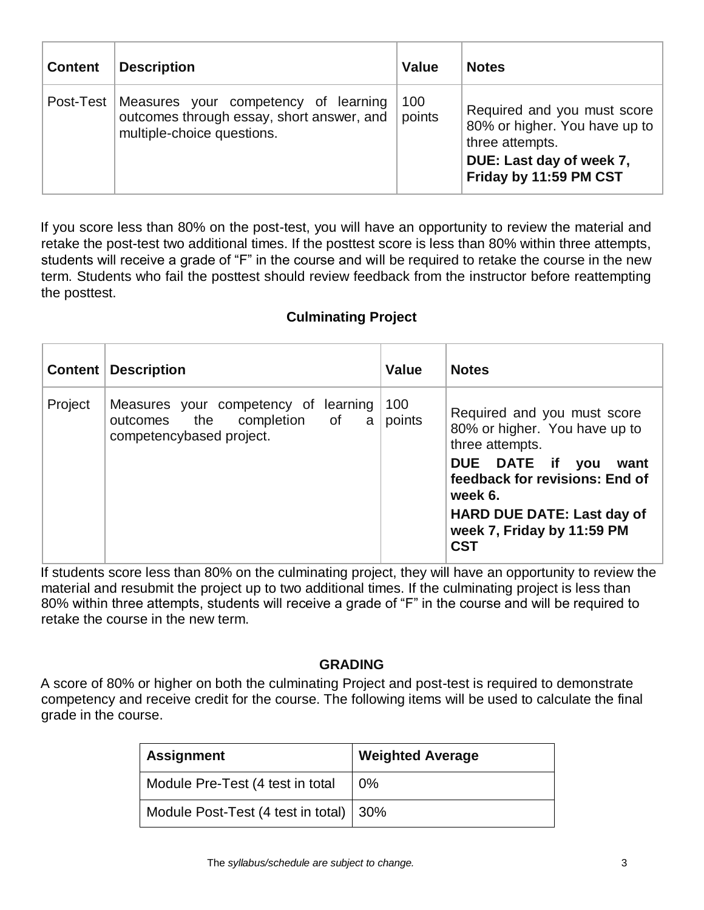| <b>Content</b> | <b>Description</b>                                                                                                        | <b>Value</b>  | <b>Notes</b>                                                                                                                          |
|----------------|---------------------------------------------------------------------------------------------------------------------------|---------------|---------------------------------------------------------------------------------------------------------------------------------------|
|                | Post-Test Measures your competency of learning<br>outcomes through essay, short answer, and<br>multiple-choice questions. | 100<br>points | Required and you must score<br>80% or higher. You have up to<br>three attempts.<br>DUE: Last day of week 7,<br>Friday by 11:59 PM CST |

If you score less than 80% on the post-test, you will have an opportunity to review the material and retake the post-test two additional times. If the posttest score is less than 80% within three attempts, students will receive a grade of "F" in the course and will be required to retake the course in the new term. Students who fail the posttest should review feedback from the instructor before reattempting the posttest.

# **Culminating Project**

|         | <b>Content   Description</b>                                                                     | Value         | <b>Notes</b>                                                                                                                                                                                                                             |
|---------|--------------------------------------------------------------------------------------------------|---------------|------------------------------------------------------------------------------------------------------------------------------------------------------------------------------------------------------------------------------------------|
| Project | Measures your competency of learning<br>outcomes the completion of a<br>competencybased project. | 100<br>points | Required and you must score<br>80% or higher. You have up to<br>three attempts.<br>DUE DATE if you<br>want<br>feedback for revisions: End of<br>week 6.<br><b>HARD DUE DATE: Last day of</b><br>week 7, Friday by 11:59 PM<br><b>CST</b> |

If students score less than 80% on the culminating project, they will have an opportunity to review the material and resubmit the project up to two additional times. If the culminating project is less than 80% within three attempts, students will receive a grade of "F" in the course and will be required to retake the course in the new term.

### **GRADING**

A score of 80% or higher on both the culminating Project and post-test is required to demonstrate competency and receive credit for the course. The following items will be used to calculate the final grade in the course.

| <b>Assignment</b>                        | <b>Weighted Average</b> |
|------------------------------------------|-------------------------|
| Module Pre-Test (4 test in total         | 0%                      |
| Module Post-Test (4 test in total)   30% |                         |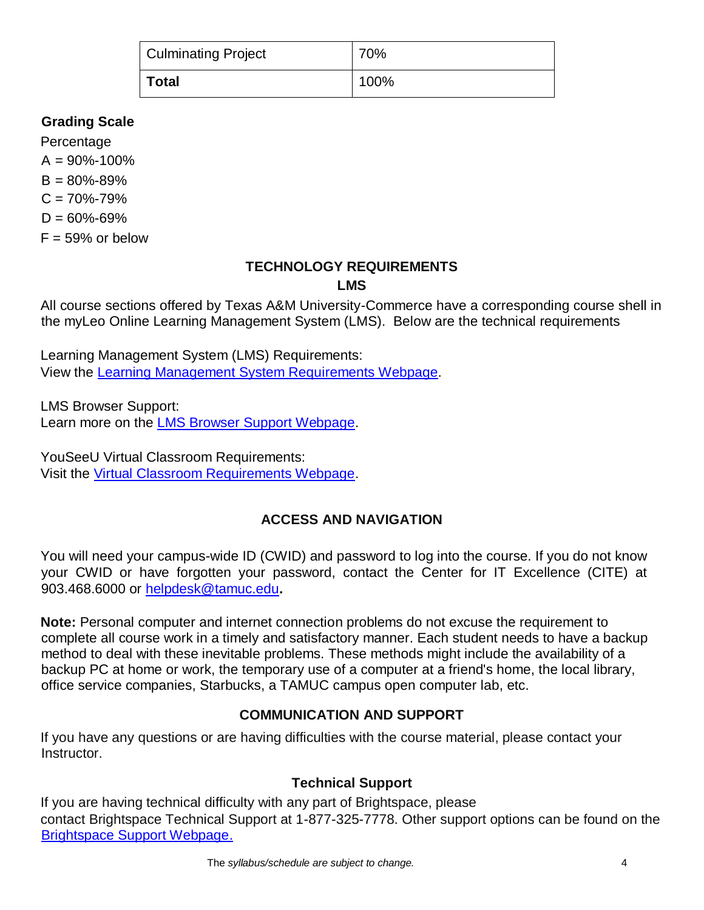| Culminating Project | 70%  |
|---------------------|------|
| ∣ Total             | 100% |

## **Grading Scale**

Percentage  $A = 90\% - 100\%$  $B = 80\% - 89\%$  $C = 70\% - 79\%$  $D = 60\% - 69\%$  $F = 59\%$  or below

#### **TECHNOLOGY REQUIREMENTS LMS**

All course sections offered by Texas A&M University-Commerce have a corresponding course shell in the myLeo Online Learning Management System (LMS). Below are the technical requirements

Learning Management System (LMS) Requirements: View the [Learning Management System Requirements Webpage.](https://community.brightspace.com/s/article/Brightspace-Platform-Requirements) 

LMS Browser Support: Learn more on the [LMS Browser Support Webpage.](https://documentation.brightspace.com/EN/brightspace/requirements/all/browser_support.htm) 

YouSeeU Virtual Classroom Requirements: Visit the [Virtual Classroom Requirements Webpage.](https://support.youseeu.com/hc/en-us/articles/115007031107-Basic-System-Requirements) 

# **ACCESS AND NAVIGATION**

You will need your campus-wide ID (CWID) and password to log into the course. If you do not know your CWID or have forgotten your password, contact the Center for IT Excellence (CITE) at 903.468.6000 or helpdesk@tamuc.edu**.** 

**Note:** Personal computer and internet connection problems do not excuse the requirement to complete all course work in a timely and satisfactory manner. Each student needs to have a backup method to deal with these inevitable problems. These methods might include the availability of a backup PC at home or work, the temporary use of a computer at a friend's home, the local library, office service companies, Starbucks, a TAMUC campus open computer lab, etc.

# **COMMUNICATION AND SUPPORT**

If you have any questions or are having difficulties with the course material, please contact your Instructor.

### **Technical Support**

If you are having technical difficulty with any part of Brightspace, please contact Brightspace Technical Support at 1-877-325-7778. Other support options can be found on the [Brightspace Support Webpage.](https://community.brightspace.com/support/s/contactsupport)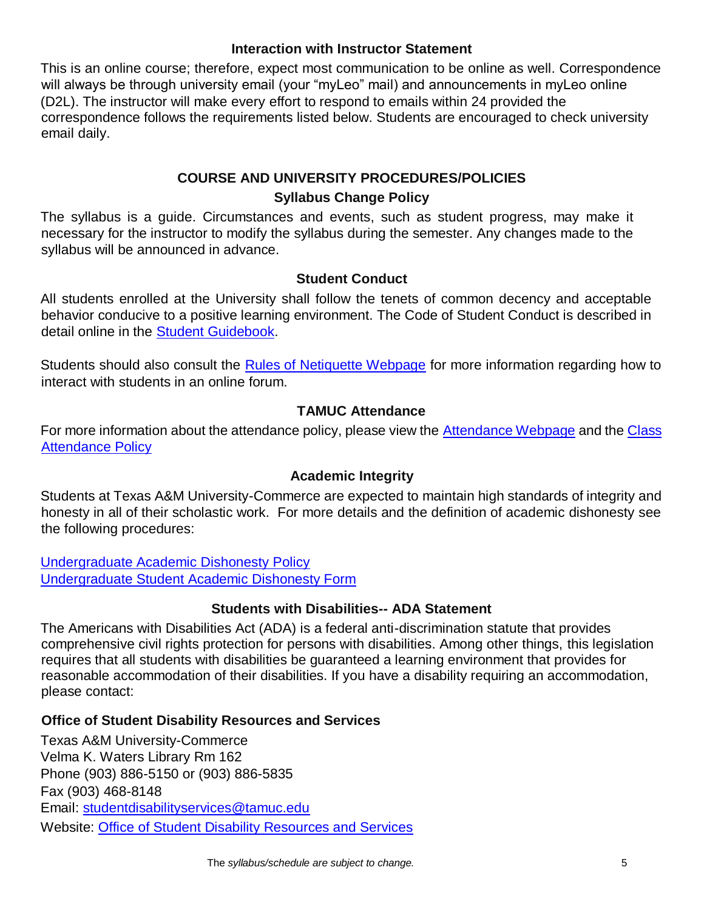### **Interaction with Instructor Statement**

This is an online course; therefore, expect most communication to be online as well. Correspondence will always be through university email (your "myLeo" mail) and announcements in myLeo online (D2L). The instructor will make every effort to respond to emails within 24 provided the correspondence follows the requirements listed below. Students are encouraged to check university email daily.

## **COURSE AND UNIVERSITY PROCEDURES/POLICIES Syllabus Change Policy**

The syllabus is a guide. Circumstances and events, such as student progress, may make it necessary for the instructor to modify the syllabus during the semester. Any changes made to the syllabus will be announced in advance.

## **Student Conduct**

All students enrolled at the University shall follow the tenets of common decency and acceptable behavior conducive to a positive learning environment. The Code of Student Conduct is described in detail online in the [Student Guidebook.](http://www.tamuc.edu/Admissions/oneStopShop/undergraduateAdmissions/studentGuidebook.aspx)

Students should also consult the [Rules of Netiquette Webpage](https://www.britannica.com/topic/netiquette) for more information regarding how to interact with students in an online forum.

### **TAMUC Attendance**

For more information about the attendance policy, please view the [Attendance](http://www.tamuc.edu/admissions/registrar/generalInformation/attendance.aspx) [Webpage](http://www.tamuc.edu/admissions/registrar/generalInformation/attendance.aspx) and the [Class](http://www.tamuc.edu/aboutUs/policiesProceduresStandardsStatements/rulesProcedures/13students/academic/13.99.99.R0.01.pdf)  [Attendance Policy](http://www.tamuc.edu/aboutUs/policiesProceduresStandardsStatements/rulesProcedures/13students/academic/13.99.99.R0.01.pdf)

## **Academic Integrity**

Students at Texas A&M University-Commerce are expected to maintain high standards of integrity and honesty in all of their scholastic work. For more details and the definition of academic dishonesty see the following procedures:

[Undergraduate Academic Dishonesty Po](http://www.tamuc.edu/aboutUs/policiesProceduresStandardsStatements/rulesProcedures/13students/undergraduates/13.99.99.R0.03UndergraduateAcademicDishonesty.pdf)licy [Undergraduate Student Academic Dishonesty Form](http://www.tamuc.edu/aboutUs/policiesProceduresStandardsStatements/rulesProcedures/documents/13.99.99.R0.03UndergraduateStudentAcademicDishonestyForm.pdf)

### **Students with Disabilities-- ADA Statement**

The Americans with Disabilities Act (ADA) is a federal anti-discrimination statute that provides comprehensive civil rights protection for persons with disabilities. Among other things, this legislation requires that all students with disabilities be guaranteed a learning environment that provides for reasonable accommodation of their disabilities. If you have a disability requiring an accommodation, please contact:

### **Office of Student Disability Resources and Services**

Texas A&M University-Commerce Velma K. Waters Library Rm 162 Phone (903) 886-5150 or (903) 886-5835 Fax (903) 468-8148 Email: studentdisabilityservices@tamuc.edu Website: [Office of Student Disability Resources and Services](http://www.tamuc.edu/campusLife/campusServices/studentDisabilityResourcesAndServices/)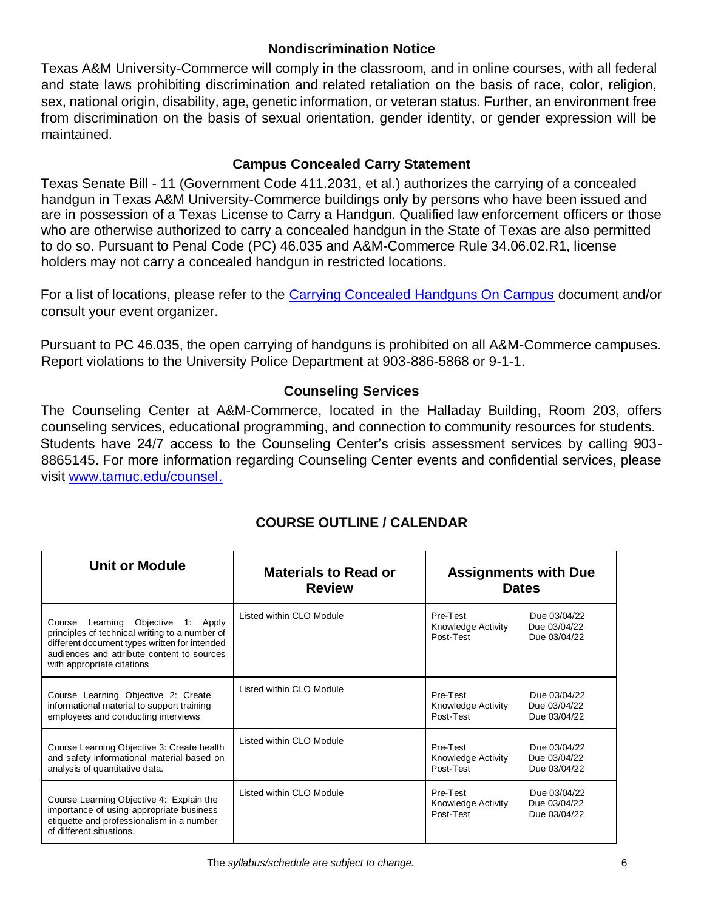### **Nondiscrimination Notice**

Texas A&M University-Commerce will comply in the classroom, and in online courses, with all federal and state laws prohibiting discrimination and related retaliation on the basis of race, color, religion, sex, national origin, disability, age, genetic information, or veteran status. Further, an environment free from discrimination on the basis of sexual orientation, gender identity, or gender expression will be maintained.

## **Campus Concealed Carry Statement**

Texas Senate Bill - 11 (Government Code 411.2031, et al.) authorizes the carrying of a concealed handgun in Texas A&M University-Commerce buildings only by persons who have been issued and are in possession of a Texas License to Carry a Handgun. Qualified law enforcement officers or those who are otherwise authorized to carry a concealed handgun in the State of Texas are also permitted to do so. Pursuant to Penal Code (PC) 46.035 and A&M-Commerce Rule 34.06.02.R1, license holders may not carry a concealed handgun in restricted locations.

For a list of locations, please refer to the [Carrying Concealed Handguns On Campus](http://www.tamuc.edu/aboutUs/policiesProceduresStandardsStatements/rulesProcedures/34SafetyOfEmployeesAndStudents/34.06.02.R1.pdf) [d](http://www.tamuc.edu/aboutUs/policiesProceduresStandardsStatements/rulesProcedures/34SafetyOfEmployeesAndStudents/34.06.02.R1.pdf)ocument and/or consult your event organizer.

Pursuant to PC 46.035, the open carrying of handguns is prohibited on all A&M-Commerce campuses. Report violations to the University Police Department at 903-886-5868 or 9-1-1.

### **Counseling Services**

The Counseling Center at A&M-Commerce, located in the Halladay Building, Room 203, offers counseling services, educational programming, and connection to community resources for students. Students have 24/7 access to the Counseling Center's crisis assessment services by calling 903- 8865145. For more information regarding Counseling Center events and confidential services, please visit [www.tamuc.edu/counsel.](http://www.tamuc.edu/counsel)

| <b>Unit or Module</b>                                                                                                                                                                                                   | <b>Materials to Read or</b><br><b>Review</b> | <b>Assignments with Due</b><br><b>Dates</b>                                                 |  |
|-------------------------------------------------------------------------------------------------------------------------------------------------------------------------------------------------------------------------|----------------------------------------------|---------------------------------------------------------------------------------------------|--|
| Learning Objective<br>1: Apply<br>Course<br>principles of technical writing to a number of<br>different document types written for intended<br>audiences and attribute content to sources<br>with appropriate citations | Listed within CLO Module                     | Pre-Test<br>Due 03/04/22<br>Due 03/04/22<br>Knowledge Activity<br>Post-Test<br>Due 03/04/22 |  |
| Course Learning Objective 2: Create<br>informational material to support training<br>employees and conducting interviews                                                                                                | Listed within CLO Module                     | Pre-Test<br>Due 03/04/22<br>Knowledge Activity<br>Due 03/04/22<br>Post-Test<br>Due 03/04/22 |  |
| Course Learning Objective 3: Create health<br>and safety informational material based on<br>analysis of quantitative data.                                                                                              | Listed within CLO Module                     | Pre-Test<br>Due 03/04/22<br>Due 03/04/22<br>Knowledge Activity<br>Post-Test<br>Due 03/04/22 |  |
| Course Learning Objective 4: Explain the<br>importance of using appropriate business<br>etiquette and professionalism in a number<br>of different situations.                                                           | Listed within CLO Module                     | Pre-Test<br>Due 03/04/22<br>Due 03/04/22<br>Knowledge Activity<br>Post-Test<br>Due 03/04/22 |  |

# **COURSE OUTLINE / CALENDAR**